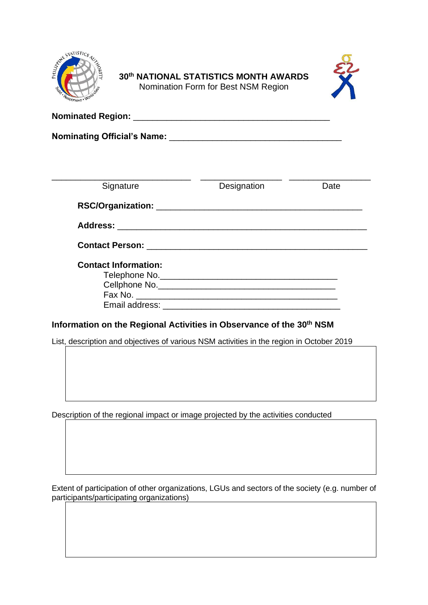

## **30 th NATIONAL STATISTICS MONTH AWARDS** Nomination Form for Best NSM Region



**Nominated Region:** \_\_\_\_\_\_\_\_\_\_\_\_\_\_\_\_\_\_\_\_\_\_\_\_\_\_\_\_\_\_\_\_\_\_\_\_\_\_\_\_\_

**Nominating Official's Name:** \_\_\_\_\_\_\_\_\_\_\_\_\_\_\_\_\_\_\_\_\_\_\_\_\_\_\_\_\_\_\_\_\_\_\_\_

| Signature                   | Designation | Date |
|-----------------------------|-------------|------|
|                             |             |      |
|                             |             |      |
|                             |             |      |
| <b>Contact Information:</b> |             |      |
|                             |             |      |
|                             |             |      |
|                             |             |      |
|                             |             |      |

# **Information on the Regional Activities in Observance of the 30th NSM**

List, description and objectives of various NSM activities in the region in October 2019

Description of the regional impact or image projected by the activities conducted

Extent of participation of other organizations, LGUs and sectors of the society (e.g. number of participants/participating organizations)